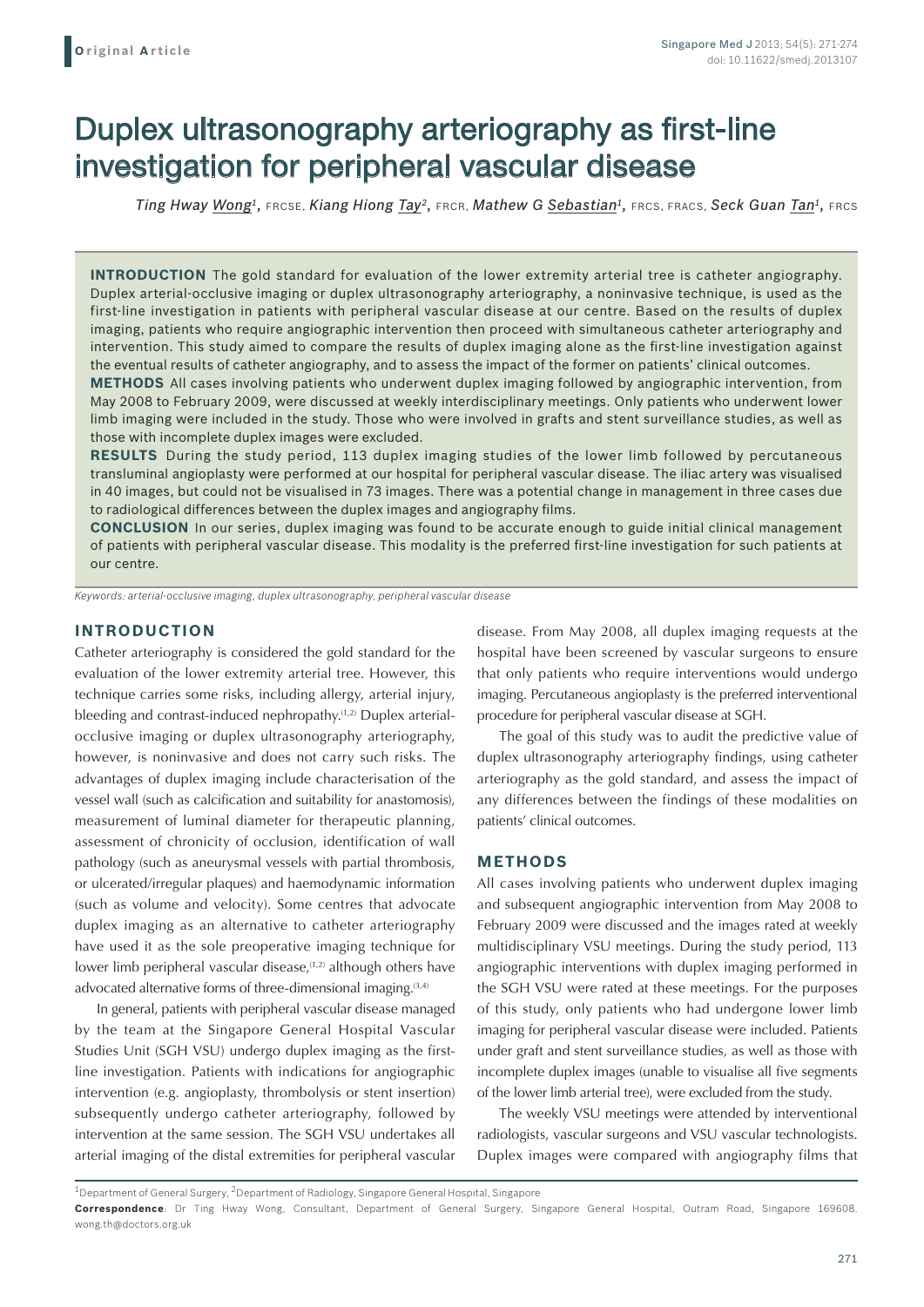# Duplex ultrasonography arteriography as first-line investigation for peripheral vascular disease

*Ting Hway Wong1,* FRCSE, *Kiang Hiong Tay2,* FRCR, *Mathew G Sebastian1,* FRCS, FRACS, *Seck Guan Tan1,* FRCS

**INTRODUCTION** The gold standard for evaluation of the lower extremity arterial tree is catheter angiography. Duplex arterial-occlusive imaging or duplex ultrasonography arteriography, a noninvasive technique, is used as the first-line investigation in patients with peripheral vascular disease at our centre. Based on the results of duplex imaging, patients who require angiographic intervention then proceed with simultaneous catheter arteriography and intervention. This study aimed to compare the results of duplex imaging alone as the first-line investigation against the eventual results of catheter angiography, and to assess the impact of the former on patients' clinical outcomes.

**METHODS** All cases involving patients who underwent duplex imaging followed by angiographic intervention, from May 2008 to February 2009, were discussed at weekly interdisciplinary meetings. Only patients who underwent lower limb imaging were included in the study. Those who were involved in grafts and stent surveillance studies, as well as those with incomplete duplex images were excluded.

**RESULTS** During the study period, 113 duplex imaging studies of the lower limb followed by percutaneous transluminal angioplasty were performed at our hospital for peripheral vascular disease. The iliac artery was visualised in 40 images, but could not be visualised in 73 images. There was a potential change in management in three cases due to radiological differences between the duplex images and angiography films.

**CONCLUSION** In our series, duplex imaging was found to be accurate enough to guide initial clinical management of patients with peripheral vascular disease. This modality is the preferred first-line investigation for such patients at our centre.

*Keywords: arterial-occlusive imaging, duplex ultrasonography, peripheral vascular disease*

## **INTRODUCTION**

Catheter arteriography is considered the gold standard for the evaluation of the lower extremity arterial tree. However, this technique carries some risks, including allergy, arterial injury, bleeding and contrast-induced nephropathy.<sup>(1,2)</sup> Duplex arterialocclusive imaging or duplex ultrasonography arteriography, however, is noninvasive and does not carry such risks. The advantages of duplex imaging include characterisation of the vessel wall (such as calcification and suitability for anastomosis), measurement of luminal diameter for therapeutic planning, assessment of chronicity of occlusion, identification of wall pathology (such as aneurysmal vessels with partial thrombosis, or ulcerated/irregular plaques) and haemodynamic information (such as volume and velocity). Some centres that advocate duplex imaging as an alternative to catheter arteriography have used it as the sole preoperative imaging technique for lower limb peripheral vascular disease,<sup>(1,2)</sup> although others have advocated alternative forms of three-dimensional imaging.<sup>(3,4)</sup>

In general, patients with peripheral vascular disease managed by the team at the Singapore General Hospital Vascular Studies Unit (SGH VSU) undergo duplex imaging as the firstline investigation. Patients with indications for angiographic intervention (e.g. angioplasty, thrombolysis or stent insertion) subsequently undergo catheter arteriography, followed by intervention at the same session. The SGH VSU undertakes all arterial imaging of the distal extremities for peripheral vascular

disease. From May 2008, all duplex imaging requests at the hospital have been screened by vascular surgeons to ensure that only patients who require interventions would undergo imaging. Percutaneous angioplasty is the preferred interventional procedure for peripheral vascular disease at SGH.

The goal of this study was to audit the predictive value of duplex ultrasonography arteriography findings, using catheter arteriography as the gold standard, and assess the impact of any differences between the findings of these modalities on patients' clinical outcomes.

## **METHODS**

All cases involving patients who underwent duplex imaging and subsequent angiographic intervention from May 2008 to February 2009 were discussed and the images rated at weekly multidisciplinary VSU meetings. During the study period, 113 angiographic interventions with duplex imaging performed in the SGH VSU were rated at these meetings. For the purposes of this study, only patients who had undergone lower limb imaging for peripheral vascular disease were included. Patients under graft and stent surveillance studies, as well as those with incomplete duplex images (unable to visualise all five segments of the lower limb arterial tree), were excluded from the study.

The weekly VSU meetings were attended by interventional radiologists, vascular surgeons and VSU vascular technologists. Duplex images were compared with angiography films that

<sup>1</sup>Department of General Surgery, 2Department of Radiology, Singapore General Hospital, Singapore

**Correspondence**: Dr Ting Hway Wong, Consultant, Department of General Surgery, Singapore General Hospital, Outram Road, Singapore 169608. wong.th@doctors.org.uk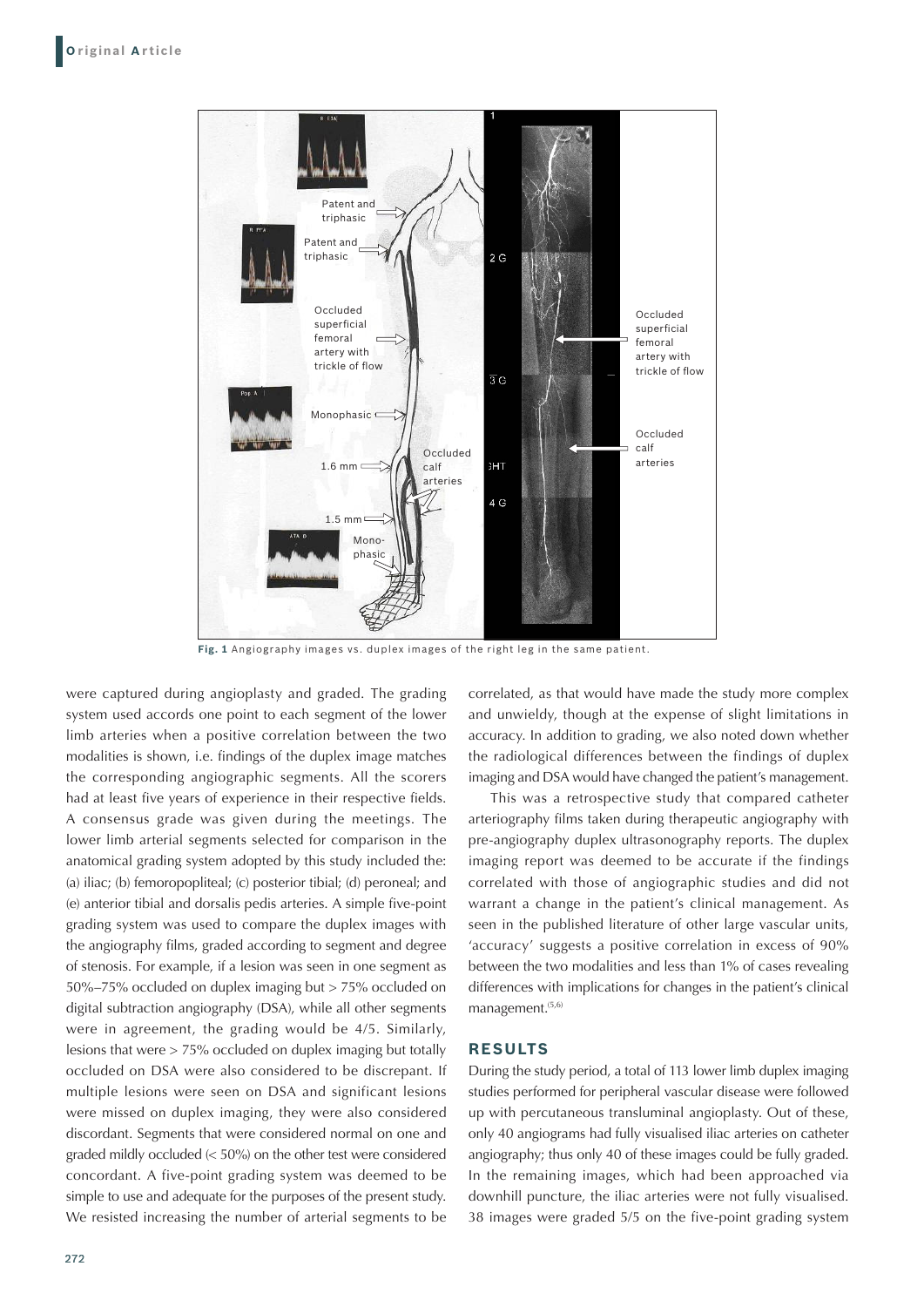

**Fig. 1** Angiography images vs. duplex images of the right leg in the same patient.

were captured during angioplasty and graded. The grading system used accords one point to each segment of the lower limb arteries when a positive correlation between the two modalities is shown, i.e. findings of the duplex image matches the corresponding angiographic segments. All the scorers had at least five years of experience in their respective fields. A consensus grade was given during the meetings. The lower limb arterial segments selected for comparison in the anatomical grading system adopted by this study included the: (a) iliac; (b) femoropopliteal; (c) posterior tibial; (d) peroneal; and (e) anterior tibial and dorsalis pedis arteries. A simple five-point grading system was used to compare the duplex images with the angiography films, graded according to segment and degree of stenosis. For example, if a lesion was seen in one segment as 50%–75% occluded on duplex imaging but > 75% occluded on digital subtraction angiography (DSA), while all other segments were in agreement, the grading would be 4/5. Similarly, lesions that were > 75% occluded on duplex imaging but totally occluded on DSA were also considered to be discrepant. If multiple lesions were seen on DSA and significant lesions were missed on duplex imaging, they were also considered discordant. Segments that were considered normal on one and graded mildly occluded (< 50%) on the other test were considered concordant. A five-point grading system was deemed to be simple to use and adequate for the purposes of the present study. We resisted increasing the number of arterial segments to be

correlated, as that would have made the study more complex and unwieldy, though at the expense of slight limitations in accuracy. In addition to grading, we also noted down whether the radiological differences between the findings of duplex imaging and DSA would have changed the patient's management.

This was a retrospective study that compared catheter arteriography films taken during therapeutic angiography with pre-angiography duplex ultrasonography reports. The duplex imaging report was deemed to be accurate if the findings correlated with those of angiographic studies and did not warrant a change in the patient's clinical management. As seen in the published literature of other large vascular units, 'accuracy' suggests a positive correlation in excess of 90% between the two modalities and less than 1% of cases revealing differences with implications for changes in the patient's clinical management.<sup>(5,6)</sup>

#### **RESULTS**

During the study period, a total of 113 lower limb duplex imaging studies performed for peripheral vascular disease were followed up with percutaneous transluminal angioplasty. Out of these, only 40 angiograms had fully visualised iliac arteries on catheter angiography; thus only 40 of these images could be fully graded. In the remaining images, which had been approached via downhill puncture, the iliac arteries were not fully visualised. 38 images were graded 5/5 on the five-point grading system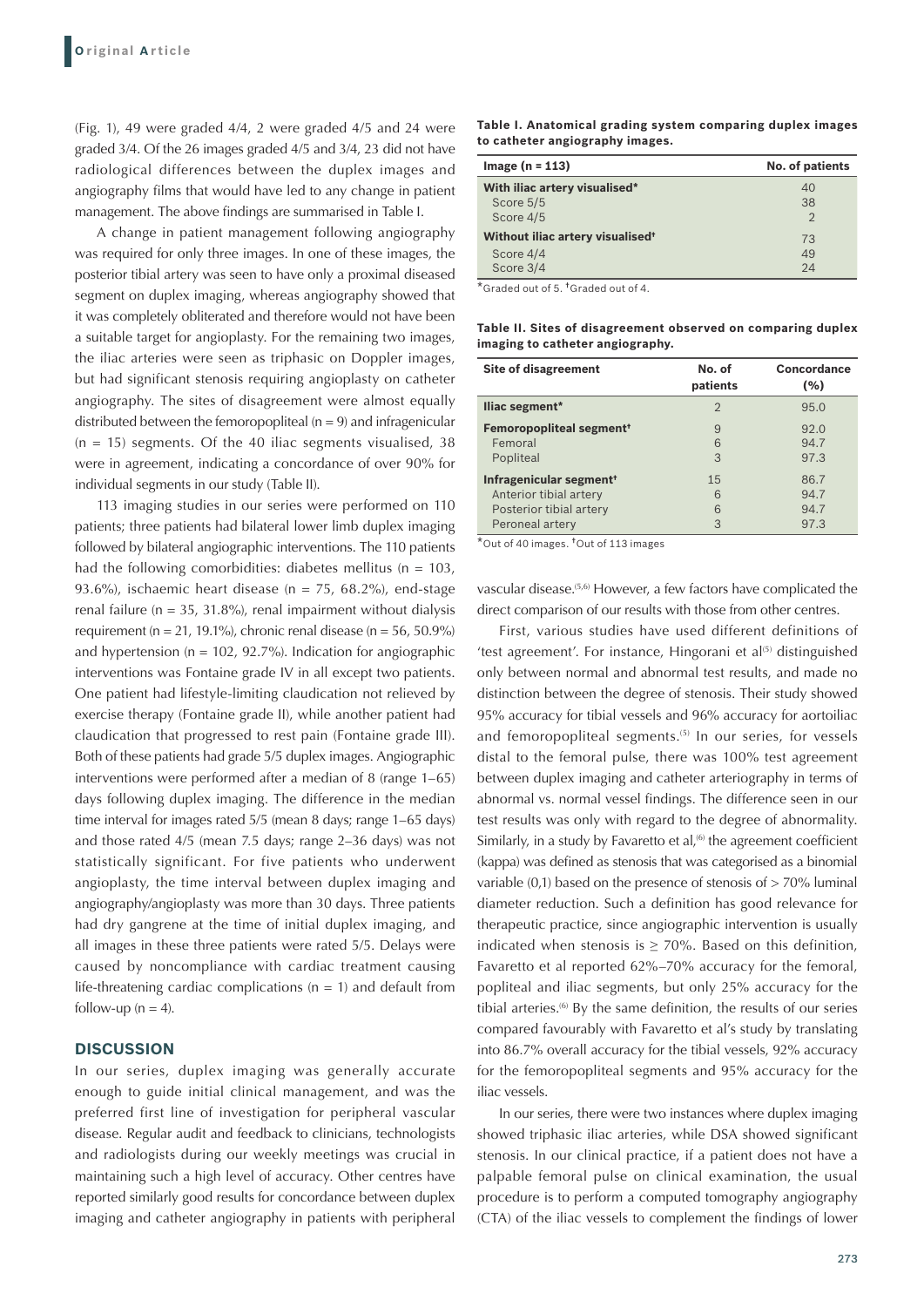(Fig. 1), 49 were graded 4/4, 2 were graded 4/5 and 24 were graded 3/4. Of the 26 images graded 4/5 and 3/4, 23 did not have radiological differences between the duplex images and angiography films that would have led to any change in patient management. The above findings are summarised in Table I.

A change in patient management following angiography was required for only three images. In one of these images, the posterior tibial artery was seen to have only a proximal diseased segment on duplex imaging, whereas angiography showed that it was completely obliterated and therefore would not have been a suitable target for angioplasty. For the remaining two images, the iliac arteries were seen as triphasic on Doppler images, but had significant stenosis requiring angioplasty on catheter angiography. The sites of disagreement were almost equally distributed between the femoropopliteal ( $n = 9$ ) and infragenicular  $(n = 15)$  segments. Of the 40 iliac segments visualised, 38 were in agreement, indicating a concordance of over 90% for individual segments in our study (Table II).

113 imaging studies in our series were performed on 110 patients; three patients had bilateral lower limb duplex imaging followed by bilateral angiographic interventions. The 110 patients had the following comorbidities: diabetes mellitus ( $n = 103$ , 93.6%), ischaemic heart disease ( $n = 75$ , 68.2%), end-stage renal failure ( $n = 35$ , 31.8%), renal impairment without dialysis requirement (n = 21, 19.1%), chronic renal disease (n = 56, 50.9%) and hypertension ( $n = 102, 92.7\%$ ). Indication for angiographic interventions was Fontaine grade IV in all except two patients. One patient had lifestyle-limiting claudication not relieved by exercise therapy (Fontaine grade II), while another patient had claudication that progressed to rest pain (Fontaine grade III). Both of these patients had grade 5/5 duplex images. Angiographic interventions were performed after a median of 8 (range 1–65) days following duplex imaging. The difference in the median time interval for images rated 5/5 (mean 8 days; range 1–65 days) and those rated 4/5 (mean 7.5 days; range 2–36 days) was not statistically significant. For five patients who underwent angioplasty, the time interval between duplex imaging and angiography/angioplasty was more than 30 days. Three patients had dry gangrene at the time of initial duplex imaging, and all images in these three patients were rated 5/5. Delays were caused by noncompliance with cardiac treatment causing life-threatening cardiac complications ( $n = 1$ ) and default from follow-up ( $n = 4$ ).

### **DISCUSSION**

In our series, duplex imaging was generally accurate enough to guide initial clinical management, and was the preferred first line of investigation for peripheral vascular disease. Regular audit and feedback to clinicians, technologists and radiologists during our weekly meetings was crucial in maintaining such a high level of accuracy. Other centres have reported similarly good results for concordance between duplex imaging and catheter angiography in patients with peripheral

**Table I. Anatomical grading system comparing duplex images to catheter angiography images.**

| $Image (n = 113)$                            | No. of patients |
|----------------------------------------------|-----------------|
| With iliac artery visualised*                | 40              |
| Score 5/5                                    | 38              |
| Score 4/5                                    | $\mathcal{D}$   |
| Without iliac artery visualised <sup>+</sup> | 73              |
| Score 4/4                                    | 49              |
| Score 3/4                                    | 24              |

\*Graded out of 5. †Graded out of 4.

**Table II. Sites of disagreement observed on comparing duplex imaging to catheter angiography.**

| <b>Site of disagreement</b>                | No. of<br>patients | Concordance<br>(%) |
|--------------------------------------------|--------------------|--------------------|
| lliac segment*                             | $\overline{2}$     | 95.0               |
| <b>Femoropopliteal segment<sup>+</sup></b> | 9                  | 92.0               |
| Femoral                                    | 6                  | 94.7               |
| Popliteal                                  | $\mathcal{S}$      | 97.3               |
| Infragenicular segment <sup>+</sup>        | 1.5                | 86.7               |
| Anterior tibial artery                     | 6                  | 94.7               |
| Posterior tibial artery                    | 6                  | 94.7               |
| Peroneal artery                            | 3                  | 97.3               |

\*Out of 40 images. †Out of 113 images

vascular disease.(5,6) However, a few factors have complicated the direct comparison of our results with those from other centres.

First, various studies have used different definitions of 'test agreement'. For instance, Hingorani et  $al^{(5)}$  distinguished only between normal and abnormal test results, and made no distinction between the degree of stenosis. Their study showed 95% accuracy for tibial vessels and 96% accuracy for aortoiliac and femoropopliteal segments.<sup>(5)</sup> In our series, for vessels distal to the femoral pulse, there was 100% test agreement between duplex imaging and catheter arteriography in terms of abnormal vs. normal vessel findings. The difference seen in our test results was only with regard to the degree of abnormality. Similarly, in a study by Favaretto et al,<sup>(6)</sup> the agreement coefficient (kappa) was defined as stenosis that was categorised as a binomial variable (0,1) based on the presence of stenosis of > 70% luminal diameter reduction. Such a definition has good relevance for therapeutic practice, since angiographic intervention is usually indicated when stenosis is  $>$  70%. Based on this definition, Favaretto et al reported 62%–70% accuracy for the femoral, popliteal and iliac segments, but only 25% accuracy for the tibial arteries.<sup>(6)</sup> By the same definition, the results of our series compared favourably with Favaretto et al's study by translating into 86.7% overall accuracy for the tibial vessels, 92% accuracy for the femoropopliteal segments and 95% accuracy for the iliac vessels.

In our series, there were two instances where duplex imaging showed triphasic iliac arteries, while DSA showed significant stenosis. In our clinical practice, if a patient does not have a palpable femoral pulse on clinical examination, the usual procedure is to perform a computed tomography angiography (CTA) of the iliac vessels to complement the findings of lower